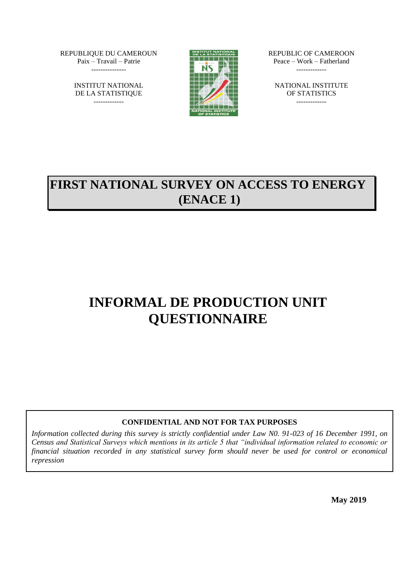REPUBLIQUE DU CAMEROUN Paix – Travail – Patrie ---------------

> INSTITUT NATIONAL DE LA STATISTIQUE -------------



REPUBLIC OF CAMEROON Peace – Work – Fatherland -------------

NATIONAL INSTITUTE OF STATISTICS -------------

# **FIRST NATIONAL SURVEY ON ACCESS TO ENERGY (ENACE 1)**

# **INFORMAL DE PRODUCTION UNIT QUESTIONNAIRE**

## **CONFIDENTIAL AND NOT FOR TAX PURPOSES**

*Information collected during this survey is strictly confidential under Law N0. 91-023 of 16 December 1991, on Census and Statistical Surveys which mentions in its article 5 that "individual information related to economic or financial situation recorded in any statistical survey form should never be used for control or economical repression*

**May 2019**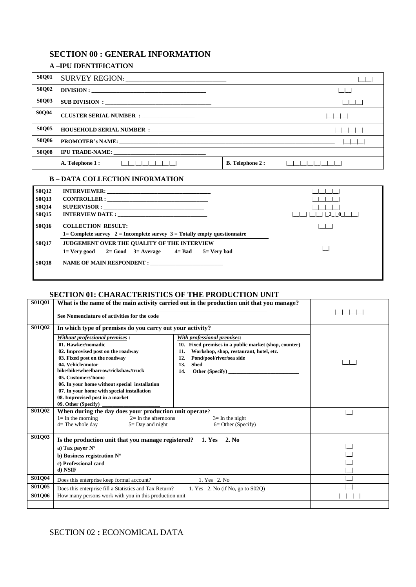## **SECTION 00 : GENERAL INFORMATION**

### **A –IPU IDENTIFICATION**

| <b>S0Q01</b> |                                             |                        |
|--------------|---------------------------------------------|------------------------|
| <b>S0Q02</b> | DIVISION:                                   |                        |
| <b>S0Q03</b> | SUB DIVISION:                               |                        |
| <b>S0Q04</b> | CLUSTER SERIAL NUMBER : _______________     |                        |
| <b>S0Q05</b> | HOUSEHOLD SERIAL NUMBER : _________________ |                        |
| <b>S0Q06</b> |                                             |                        |
| <b>S0Q08</b> |                                             |                        |
|              | A. Telephone 1:<br>$-111$                   | <b>B.</b> Telephone 2: |

#### **B – DATA COLLECTION INFORMATION**

| <b>S0O12</b> |                                                                              |                             |
|--------------|------------------------------------------------------------------------------|-----------------------------|
| <b>S0Q13</b> | $CONTROLLER: \n\n\n$                                                         |                             |
| <b>S0Q14</b> |                                                                              |                             |
| <b>S0Q15</b> |                                                                              | $\Box$ $\Box$ $\Box$ $\Box$ |
| <b>S0O16</b> | <b>COLLECTION RESULT:</b>                                                    |                             |
|              | 1= Complete survey $2 =$ Incomplete survey $3 =$ Totally empty questionnaire |                             |
| <b>S0O17</b> | <b>JUDGEMENT OVER THE QUALITY OF THE INTERVIEW</b>                           |                             |
|              | $1 = \text{Very good}$ 2= Good 3= Average 4= Bad 5= Very bad                 |                             |
| <b>S0O18</b> |                                                                              |                             |
|              |                                                                              |                             |

#### **SECTION 01: CHARACTERISTICS OF THE PRODUCTION UNIT**

| <b>S01Q01</b> | What is the name of the main activity carried out in the production unit that you manage? |                                                       |  |
|---------------|-------------------------------------------------------------------------------------------|-------------------------------------------------------|--|
|               | See Nomenclature of activities for the code                                               |                                                       |  |
| S01Q02        | In which type of premises do you carry out your activity?                                 |                                                       |  |
|               | Without professional premises:                                                            | With professional premises:                           |  |
|               | 01. Hawker/nomadic                                                                        | 10. Fixed premises in a public market (shop, counter) |  |
|               | 02. Improvised post on the roadway                                                        | Workshop, shop, restaurant, hotel, etc.<br>11.        |  |
|               | 03. Fixed post on the roadway                                                             | 12.<br>Pond/pool/river/sea side                       |  |
|               | 04. Vehicle/motor                                                                         | <b>Shed</b><br>13.                                    |  |
|               | bike/bike/wheelbarrow/rickshaw/truck                                                      | Other (Specify)<br>14.                                |  |
|               | 05. Customers'home                                                                        |                                                       |  |
|               | 06. In your home without special installation                                             |                                                       |  |
|               | 07. In your home with special installation                                                |                                                       |  |
|               | 08. Improvised post in a market                                                           |                                                       |  |
|               | 09. Other (Specify)                                                                       |                                                       |  |
| <b>S01O02</b> | When during the day does your production unit operate?                                    |                                                       |  |
|               | $l = In the morning$<br>$2=$ In the afternoons                                            | $3=$ In the night                                     |  |
|               | $4=$ The whole day<br>$5 =$ Day and night                                                 | $6=$ Other (Specify)                                  |  |
| S01Q03        | Is the production unit that you manage registered? 1. Yes 2. No                           |                                                       |  |
|               | a) Tax payer $N^{\circ}$                                                                  |                                                       |  |
|               | b) Business registration $N^{\circ}$                                                      |                                                       |  |
|               | c) Professional card                                                                      |                                                       |  |
|               | d) NSIF                                                                                   |                                                       |  |
|               |                                                                                           |                                                       |  |
| <b>S01Q04</b> | Does this enterprise keep formal account?                                                 | 1. Yes 2. No                                          |  |
| S01Q05        | Does this enterprise fill a Statistics and Tax Return?                                    | 1. Yes $2.$ No (if No, go to S02Q)                    |  |
| <b>S01O06</b> | How many persons work with you in this production unit                                    |                                                       |  |
|               |                                                                                           |                                                       |  |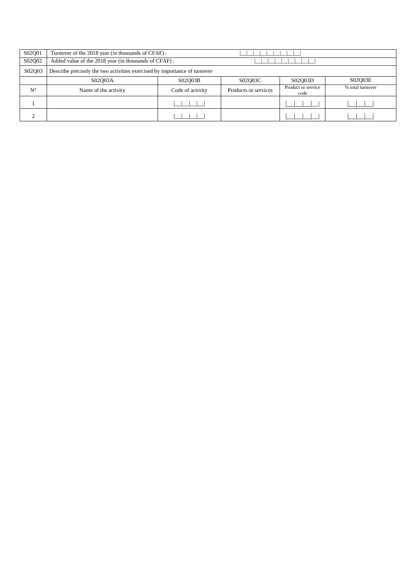| S02Q01      | Turnover of the 2018 year (in thousands of CFAF):                         |                  |                      |                            |                  |  |  |  |  |
|-------------|---------------------------------------------------------------------------|------------------|----------------------|----------------------------|------------------|--|--|--|--|
| S02Q02      | Added value of the 2018 year (in thousands of CFAF):                      |                  |                      |                            |                  |  |  |  |  |
| S02Q03      | Describe precisely the two activities exercised by importance of turnover |                  |                      |                            |                  |  |  |  |  |
|             | S02O03A                                                                   | S02O03B          | S02Q03C              | S02O03D                    | S02O03E          |  |  |  |  |
| $N^{\circ}$ | Name of the activity                                                      | Code of activity | Products or services | Product or service<br>code | % total turnover |  |  |  |  |
|             |                                                                           |                  |                      |                            |                  |  |  |  |  |
|             |                                                                           |                  |                      |                            |                  |  |  |  |  |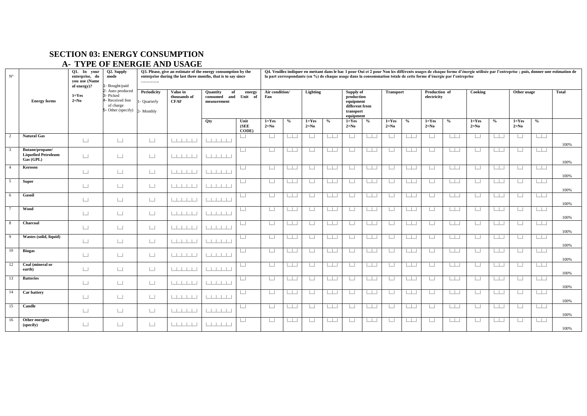# **SECTION 03: ENERGY CONSUMPTION**

# **A- TYPE OF ENERGIE AND USAGE**

| $N^{\circ}$             | Q1. In your<br>Q2. Supply<br>Q3. Please, give an estimate of the energy consumption by the<br>enterprise, do<br>mode<br>enterprise during the last three months, that is to say since<br>vou use (Name<br><br>- Bought/paid<br>of energy)? |                       |                                                                                                 |                                 |                                         |                                                      |                          |                       |               |                     |                   |                                                                                  |                                  |                          |                                  |                              | la part correspondante (en %) de chaque usage dans la consommation totale de cette forme d'énergie par l'entreprise |                     |                                                                                             |                       |                                       | Q4. Veuillez indiquer en mettant dans le bac 1 pour Oui et 2 pour Non les différents usages de chaque forme d'énergie utilisée par l'entreprise ; puis, donner une estimation de |
|-------------------------|--------------------------------------------------------------------------------------------------------------------------------------------------------------------------------------------------------------------------------------------|-----------------------|-------------------------------------------------------------------------------------------------|---------------------------------|-----------------------------------------|------------------------------------------------------|--------------------------|-----------------------|---------------|---------------------|-------------------|----------------------------------------------------------------------------------|----------------------------------|--------------------------|----------------------------------|------------------------------|---------------------------------------------------------------------------------------------------------------------|---------------------|---------------------------------------------------------------------------------------------|-----------------------|---------------------------------------|----------------------------------------------------------------------------------------------------------------------------------------------------------------------------------|
|                         | <b>Energy forms</b>                                                                                                                                                                                                                        | $1 = Yes$<br>$2=N0$   | 2- Auto produced<br>3- Picked<br>4- Received free<br>of charge<br>5- Other (specify) 2- Monthly | Periodicity<br><b>Quarterly</b> | Value in<br>thousands of<br><b>CFAF</b> | <b>Quantity</b><br>of<br>consumed and<br>measurement | energy<br>Unit<br>- of   | Air condition/<br>Fan |               | Lighting            |                   | Supply of<br>production<br>equipment<br>different from<br>transport<br>equipment |                                  | <b>Transport</b>         |                                  | Production of<br>electricity |                                                                                                                     | Cooking             |                                                                                             | Other usage           |                                       | <b>Total</b>                                                                                                                                                                     |
|                         |                                                                                                                                                                                                                                            |                       |                                                                                                 |                                 |                                         | Qty                                                  | Unit<br>(SEE)<br>CODE)   | $1 = Yes$<br>$2=N0$   | $\frac{0}{0}$ | $1 = Yes$<br>$2=N0$ | $\%$              | $1 = Yes$<br>$2=N0$                                                              | $\%$                             | $1 = Yes$<br>$2=N0$      | $\%$                             | $1 = Yes$<br>$2=N0$          | $\%$                                                                                                                | $1 = Yes$<br>$2=N0$ | $\frac{6}{6}$                                                                               | $1 = Yes$<br>$2=N0$   | $\%$                                  |                                                                                                                                                                                  |
| 2                       | <b>Natural Gas</b>                                                                                                                                                                                                                         | $\boxed{\phantom{1}}$ | $\Box$                                                                                          | $\Box$                          | 111111                                  |                                                      | $\vert \ \ \vert$        | $\Box$                | $\Box$        | $\mathbf{1}$        | $\mathbb{R}$      | $\Box$                                                                           | $\Box$                           | ш                        |                                  | $\vert$ $\vert$              | ساسا                                                                                                                | $\perp$             | $\vert \ \ \vert$                                                                           | $\vert \ \ \vert$     |                                       | 100%                                                                                                                                                                             |
| $\overline{\mathbf{3}}$ | Butane/propane/<br><b>Liquefied Petroleum</b><br>Gas (GPL)                                                                                                                                                                                 | $\Box$                | $\boxed{\phantom{1}}$                                                                           | $\Box$                          | .                                       | 111111                                               | $\Box$                   | $\Box$                | $\mathbf{1}$  | $\perp$             | $\Box$            | $\Box$                                                                           | $\Box$                           | $\Box$                   |                                  | $\vert$ $\vert$              | لطاط                                                                                                                | $\Box$              | $\Box$                                                                                      | $\Box$                | $\begin{array}{c} \hline \end{array}$ | 100%                                                                                                                                                                             |
| $\overline{4}$          | Kerosen                                                                                                                                                                                                                                    | $\Box$                | $\Box$                                                                                          | $\vert \ \ \vert$               | .                                       |                                                      | $\boxed{\phantom{1}}$    | $\Box$                | $\mathbf{1}$  | $\perp$             | $\Box$            | $\Box$                                                                           | $\Box$                           | $\Box$                   | $\begin{array}{ccc} \end{array}$ | $\vert$ $\vert$              | لطاط                                                                                                                | $\perp$             | $\vert \vert$                                                                               | $\vert \ \ \vert$     |                                       | 100%                                                                                                                                                                             |
|                         | <b>Super</b>                                                                                                                                                                                                                               | $\Box$                | $\boxed{\phantom{1}}$                                                                           | $\Box$                          | .                                       | 1111111                                              | $\boxed{\phantom{1}}$    | $\sqcup$              | $\mathbf{1}$  | $\vert$ $\vert$     | $\Box$            | $\Box$                                                                           | $\Box$                           | $\Box$                   | $\Box$                           | $\vert \ \ \vert$            | لطاط                                                                                                                | $\mathbf{1}$        | اساسا                                                                                       | $\vert \ \ \vert$     | $\Box$                                | 100%                                                                                                                                                                             |
| 6                       | <b>Gasoil</b>                                                                                                                                                                                                                              | $\Box$                | $\Box$                                                                                          | $\perp$                         | 111111                                  |                                                      | $\Box$                   | $\vert \ \ \vert$     | $\mathbf{L}$  |                     | $\mathbf{I}$      | $\vert \ \ \vert$                                                                | $\Box$                           | $\vert \ \ \vert$        | $\Box$                           | $\vert \ \ \vert$            | $\vert \vert$                                                                                                       | $\vert \ \ \vert$   | $\vert + \vert$                                                                             | $\vert \ \ \vert$     | $\Box$                                | 100%                                                                                                                                                                             |
|                         | Wood                                                                                                                                                                                                                                       | $\boxed{\phantom{1}}$ | $\boxed{\phantom{1}}$                                                                           | $\Box$                          |                                         | $1 + 1 + 1 + 1 + 1$                                  | $\overline{\phantom{a}}$ | $\mathbf{L}$          | $\mathbf{1}$  |                     | $\sim$ 1 $\sim$ 1 | $\Box$                                                                           | l I.                             | ш                        | $\Box$                           | $\vert \ \ \vert$            | لطاط                                                                                                                | $\vert \ \ \vert$   | $\vert \ \ \vert$                                                                           | $\vert \ \ \vert$     |                                       | 100%                                                                                                                                                                             |
| - 8                     | Charcoal                                                                                                                                                                                                                                   | $\Box$                | $\Box$                                                                                          | $\perp$                         | 111111                                  | 1111111                                              | $\boxed{\phantom{1}}$    | $\Box$                | l III         |                     | $\Box$            | $\boxed{\phantom{1}}$                                                            | ساسا                             | $\Box$                   | $\overline{\phantom{a}}$         | $\Box$                       |                                                                                                                     | $\Box$              | $\Box$                                                                                      | $\Box$                | $\Box$                                | 100%                                                                                                                                                                             |
| $\overline{9}$          | Wastes (solid, liquid)                                                                                                                                                                                                                     | $\Box$                | $\Box$                                                                                          | $\Box$                          | .                                       | 111111                                               | $\boxed{\phantom{1}}$    | $\vert \ \ \vert$     | $\mathbf{1}$  |                     | $\mathbf{1}$      | $\Box$                                                                           | $\begin{array}{ccc} \end{array}$ | $\Box$                   | $\Box$                           | $\vert$ $\vert$              | $\Box$                                                                                                              | $\perp$             | الطاط                                                                                       | $\vert \ \ \vert$     | $\vert \vert$                         | 100%                                                                                                                                                                             |
| 10                      | <b>Biogas</b>                                                                                                                                                                                                                              | $\Box$                | $\Box$                                                                                          | $\perp$                         | 1111111                                 | 111111                                               | $\boxed{\phantom{1}}$    | $\Box$                | $\Box$        | ப                   | $\Box$            | $\Box$                                                                           | ساسا                             | $\overline{\phantom{a}}$ | $\Box$                           | $\Box$                       |                                                                                                                     | $\Box$              |                                                                                             | $\boxed{\phantom{1}}$ | الطالط                                | 100%                                                                                                                                                                             |
| 12                      | Coal (mineral or<br>earth)                                                                                                                                                                                                                 | $\Box$                | $\boxed{\phantom{1}}$                                                                           | $\overline{\phantom{a}}$        | .                                       |                                                      | $\boxed{\phantom{1}}$    | $\Box$                | $\mathbf{1}$  | $\vert$ $\vert$     | $\sim$ 1 $\sim$   | $\Box$                                                                           | $\Box$                           | $\Box$                   | $\Box$                           | $\Box$                       |                                                                                                                     | $\Box$              | الطاط                                                                                       | $\Box$                |                                       | 100%                                                                                                                                                                             |
| 13                      | <b>Batteries</b>                                                                                                                                                                                                                           | $\Box$                | $\Box$                                                                                          | $\vert \ \ \vert$               | 111111                                  | الطائطات                                             | $\boxed{\phantom{1}}$    | $\Box$                | $\mathbb{R}$  |                     | $\Box$            | $\boxed{\phantom{1}}$                                                            | حاطا                             | $\overline{\phantom{a}}$ | الطلباء                          | $\Box$                       |                                                                                                                     | $\Box$              |                                                                                             | $\Box$                | اساسا                                 | 100%                                                                                                                                                                             |
| 14                      | Car battery                                                                                                                                                                                                                                | $\Box$                | $\Box$                                                                                          | $\perp$                         | .                                       | 111111                                               | $\boxed{\phantom{1}}$    | $\Box$                | $\Box$        | $\mathbf{1}$        | $\Box$            | $\Box$                                                                           | L.                               | $\Box$                   |                                  | $\Box$                       |                                                                                                                     | $\Box$              | $\Box$                                                                                      | $\Box$                | $\begin{array}{c} \hline \end{array}$ | 100%                                                                                                                                                                             |
| 15                      | Candle                                                                                                                                                                                                                                     | $\Box$                | $\Box$                                                                                          | $\Box$                          | .                                       | الطاحط الطاحي                                        | $\boxed{\phantom{1}}$    | $\Box$                | l T           | $\Box$              | $\Box$            | $\boxed{\phantom{1}}$                                                            | $\Box$                           | $\Box$                   | اساسا                            | $\Box$                       | $L_{L}$                                                                                                             | $\Box$              | $\begin{array}{c} \begin{array}{c} \begin{array}{c} \end{array} \\ \end{array} \end{array}$ | $\Box$                |                                       | 100%                                                                                                                                                                             |
| 16                      | Other energies<br>(specify)                                                                                                                                                                                                                | $\Box$                | $\perp$                                                                                         | $\Box$                          | .                                       | 1 1 1 1 1 1 1                                        | $\vert \ \vert$          | $\vert \ \ \vert$     | $\sim$ 1.00   | $\vert \ \ \vert$   | <b>TELEVISION</b> | $\Box$                                                                           | L.                               | $\Box$                   |                                  | $\vert \ \ \vert$            | $\Box$                                                                                                              | $\vert \ \ \vert$   | $\Box$                                                                                      | $\vert \ \ \vert$     | $\Box$                                | 100%                                                                                                                                                                             |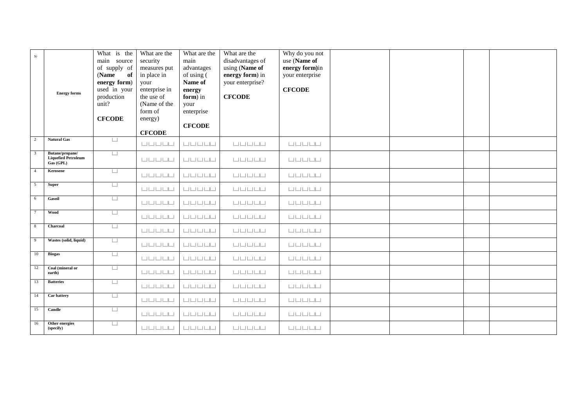| ${\bf N} \cdot$           | <b>Energy forms</b>                                        | What is the<br>main source<br>of supply of<br>(Name<br>of<br>energy form)<br>used in your<br>production<br>unit?<br><b>CFCODE</b> | What are the<br>security<br>measures put<br>in place in<br>your<br>enterprise in<br>the use of<br>(Name of the<br>form of<br>energy)<br><b>CFCODE</b> | What are the<br>main<br>advantages<br>of using (<br>Name of<br>energy<br>form) in<br>your<br>enterprise<br><b>CFCODE</b> | What are the<br>disadvantages of<br>using (Name of<br>energy form) in<br>your enterprise?<br><b>CFCODE</b> | Why do you not<br>use (Name of<br>energy form)in<br>your enterprise<br><b>CFCODE</b> |  |  |
|---------------------------|------------------------------------------------------------|-----------------------------------------------------------------------------------------------------------------------------------|-------------------------------------------------------------------------------------------------------------------------------------------------------|--------------------------------------------------------------------------------------------------------------------------|------------------------------------------------------------------------------------------------------------|--------------------------------------------------------------------------------------|--|--|
| $\overline{2}$            | <b>Natural Gas</b>                                         | $\boxed{\phantom{1}}$                                                                                                             |                                                                                                                                                       |                                                                                                                          |                                                                                                            |                                                                                      |  |  |
| $\overline{\phantom{a}3}$ | Butane/propane/<br><b>Liquefied Petroleum</b><br>Gas (GPL) | $\Box$                                                                                                                            |                                                                                                                                                       |                                                                                                                          |                                                                                                            |                                                                                      |  |  |
| $\overline{4}$            | Kerosene                                                   | $\boxed{\phantom{1}}$                                                                                                             |                                                                                                                                                       |                                                                                                                          |                                                                                                            |                                                                                      |  |  |
| $5^{\circ}$               | <b>Super</b>                                               | $\Box$                                                                                                                            |                                                                                                                                                       |                                                                                                                          |                                                                                                            |                                                                                      |  |  |
| $6\overline{6}$           | <b>Gasoil</b>                                              | $\Box$                                                                                                                            |                                                                                                                                                       |                                                                                                                          |                                                                                                            |                                                                                      |  |  |
| $\overline{7}$            | <b>Wood</b>                                                | $\Box$                                                                                                                            |                                                                                                                                                       |                                                                                                                          |                                                                                                            |                                                                                      |  |  |
| $\overline{\phantom{0}8}$ | Charcoal                                                   | $\Box$                                                                                                                            |                                                                                                                                                       |                                                                                                                          |                                                                                                            |                                                                                      |  |  |
| $\overline{9}$            | Wastes (solid, liquid)                                     | $\Box$                                                                                                                            |                                                                                                                                                       |                                                                                                                          |                                                                                                            |                                                                                      |  |  |
| 10                        | <b>Biogas</b>                                              | $\Box$                                                                                                                            |                                                                                                                                                       |                                                                                                                          |                                                                                                            |                                                                                      |  |  |
| 12                        | Coal (mineral or<br>earth)                                 | $\begin{array}{c} \boxed{1} \end{array}$                                                                                          |                                                                                                                                                       |                                                                                                                          |                                                                                                            |                                                                                      |  |  |
| 13                        | <b>Batteries</b>                                           | ப                                                                                                                                 |                                                                                                                                                       |                                                                                                                          |                                                                                                            |                                                                                      |  |  |
| 14                        | Car battery                                                | $\Box$                                                                                                                            |                                                                                                                                                       |                                                                                                                          |                                                                                                            |                                                                                      |  |  |
| 15                        | Candle                                                     | $\Box$                                                                                                                            |                                                                                                                                                       |                                                                                                                          |                                                                                                            |                                                                                      |  |  |
| 16                        | Other energies<br>(specify)                                | $\Box$                                                                                                                            |                                                                                                                                                       |                                                                                                                          |                                                                                                            |                                                                                      |  |  |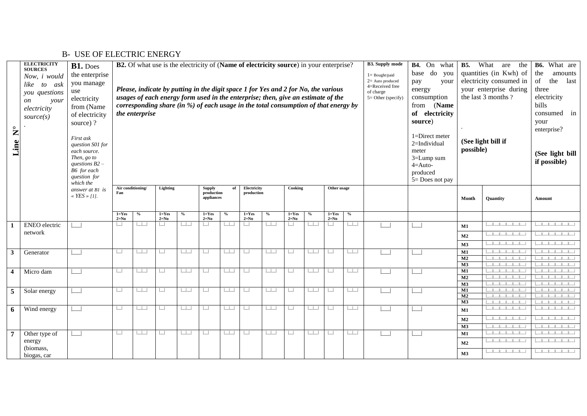| $\mathsf{z}$<br>Line    | <b>ELECTRICITY</b><br><b>SOURCES</b><br>Now, i would<br>to ask<br>like<br>you questions<br>your<br><sub>on</sub><br>electricity<br>source(s) | B1. Does<br>the enterprise<br>you manage<br>use<br>electricity<br>from (Name<br>of electricity<br>source)?<br>First ask<br>question S01 for<br>each source.<br>Then, go to<br>questions $B2$ –<br>B6 for each<br>question for<br>which the |                                          | <b>B2.</b> Of what use is the electricity of (Name of electricity source) in your enterprise?<br>Please, indicate by putting in the digit space 1 for Yes and 2 for No, the various<br>usages of each energy form used in the enterprise; then, give an estimate of the<br>corresponding share (in %) of each usage in the total consumption of that energy by<br>the enterprise<br>Air conditioning/<br>Other usage |                          |                     |                                    |         |                           |                   |                       |                          |                     |                                         |  | <b>B4.</b> On<br>what<br>do<br>base<br>you<br>pay<br>your<br>energy<br>consumption<br>from (Name<br>of electricity<br>source)<br>1=Direct meter<br>$2=$ Individual<br>meter<br>3=Lump sum<br>$4 = Auto-$<br>produced<br>5= Does not pay | <b>B5.</b><br>possible) | What<br>the<br>are<br>quantities (in Kwh) of<br>electricity consumed in<br>your enterprise during<br>the last 3 months ?<br>(See light bill if | B6. What are<br>the<br>amounts<br>last<br>of<br>the<br>three<br>electricity<br>bills<br>consumed in<br>your<br>enterprise?<br>(See light bill<br>if possible) |  |  |
|-------------------------|----------------------------------------------------------------------------------------------------------------------------------------------|--------------------------------------------------------------------------------------------------------------------------------------------------------------------------------------------------------------------------------------------|------------------------------------------|----------------------------------------------------------------------------------------------------------------------------------------------------------------------------------------------------------------------------------------------------------------------------------------------------------------------------------------------------------------------------------------------------------------------|--------------------------|---------------------|------------------------------------|---------|---------------------------|-------------------|-----------------------|--------------------------|---------------------|-----------------------------------------|--|-----------------------------------------------------------------------------------------------------------------------------------------------------------------------------------------------------------------------------------------|-------------------------|------------------------------------------------------------------------------------------------------------------------------------------------|---------------------------------------------------------------------------------------------------------------------------------------------------------------|--|--|
|                         |                                                                                                                                              | answer at B1 is<br>« $YES \times [1]$ .                                                                                                                                                                                                    | Fan                                      |                                                                                                                                                                                                                                                                                                                                                                                                                      | Lighting                 |                     | Supply<br>production<br>appliances | of      | Electricity<br>production |                   | Cooking               |                          |                     |                                         |  |                                                                                                                                                                                                                                         | Month                   | <b>Ouantity</b>                                                                                                                                | Amount                                                                                                                                                        |  |  |
|                         |                                                                                                                                              |                                                                                                                                                                                                                                            | $1 = Yes$<br>$2=N0$                      | $\%$                                                                                                                                                                                                                                                                                                                                                                                                                 | $1 = Yes$<br>$2=N0$      | $\%$                | $1 = Yes$<br>$2=N0$                | $\%$    | $1 = Yes$<br>$2=N0$       | $\frac{0}{0}$     | $1 = Yes$<br>$2=N0$   | $\frac{0}{2}$            | $1 = Yes$<br>$2=N0$ | $\%$                                    |  |                                                                                                                                                                                                                                         |                         |                                                                                                                                                |                                                                                                                                                               |  |  |
|                         | <b>ENEO</b> electric<br>network                                                                                                              |                                                                                                                                                                                                                                            | $\Box$                                   | $\mathbb{R}$                                                                                                                                                                                                                                                                                                                                                                                                         | $\Box$                   | <b>In the State</b> |                                    | $\Box$  | $\Box$                    | $\Box$            | $\Box$                | $\Box$                   | $\vert \ \ \vert$   | $\Box$                                  |  |                                                                                                                                                                                                                                         | <b>M1</b>               | $\mathbb{R}$ and $\mathbb{R}$                                                                                                                  |                                                                                                                                                               |  |  |
|                         |                                                                                                                                              |                                                                                                                                                                                                                                            |                                          |                                                                                                                                                                                                                                                                                                                                                                                                                      |                          |                     |                                    |         |                           |                   |                       |                          |                     |                                         |  |                                                                                                                                                                                                                                         | M2                      | $   -    -    -    -    -   $                                                                                                                  |                                                                                                                                                               |  |  |
|                         |                                                                                                                                              |                                                                                                                                                                                                                                            |                                          |                                                                                                                                                                                                                                                                                                                                                                                                                      |                          |                     |                                    |         |                           |                   |                       |                          |                     |                                         |  |                                                                                                                                                                                                                                         | M3                      |                                                                                                                                                |                                                                                                                                                               |  |  |
| 3                       | Generator                                                                                                                                    |                                                                                                                                                                                                                                            | $\Box$                                   | $\mathbf{1}$                                                                                                                                                                                                                                                                                                                                                                                                         | ப                        | $\Box$              | $\mathbf{I}$                       | $\Box$  | $\sqcup$                  |                   | $\Box$                | $\Box$                   | $\Box$              |                                         |  |                                                                                                                                                                                                                                         | M1<br>M <sub>2</sub>    |                                                                                                                                                |                                                                                                                                                               |  |  |
|                         |                                                                                                                                              |                                                                                                                                                                                                                                            |                                          |                                                                                                                                                                                                                                                                                                                                                                                                                      |                          |                     |                                    |         |                           |                   |                       |                          |                     |                                         |  |                                                                                                                                                                                                                                         | M3                      |                                                                                                                                                |                                                                                                                                                               |  |  |
| $\overline{\mathbf{4}}$ | Micro dam                                                                                                                                    |                                                                                                                                                                                                                                            | $\Box$                                   | $\mathbb{R}$                                                                                                                                                                                                                                                                                                                                                                                                         | $\overline{\phantom{0}}$ | $\Box$              | ப                                  | لطاب    | $\Box$                    | $\Box$            | $\boxed{\phantom{1}}$ | لطاب                     | $\Box$              | $\Box$                                  |  |                                                                                                                                                                                                                                         | $\mathbf{M1}$           |                                                                                                                                                |                                                                                                                                                               |  |  |
|                         |                                                                                                                                              |                                                                                                                                                                                                                                            |                                          |                                                                                                                                                                                                                                                                                                                                                                                                                      |                          |                     |                                    |         |                           |                   |                       |                          |                     |                                         |  |                                                                                                                                                                                                                                         | M <sub>2</sub>          |                                                                                                                                                |                                                                                                                                                               |  |  |
|                         |                                                                                                                                              |                                                                                                                                                                                                                                            | $\begin{array}{c} \boxed{-} \end{array}$ | حاحا                                                                                                                                                                                                                                                                                                                                                                                                                 | $\Box$                   | $\Box$              | $\Box$                             | $\perp$ | $\Box$                    | $\Box$            | $\boxed{\phantom{1}}$ | $\Box$                   | $\Box$              |                                         |  |                                                                                                                                                                                                                                         | M3<br>M1                | .                                                                                                                                              |                                                                                                                                                               |  |  |
| 5                       | Solar energy                                                                                                                                 |                                                                                                                                                                                                                                            |                                          |                                                                                                                                                                                                                                                                                                                                                                                                                      |                          |                     |                                    |         |                           |                   |                       |                          |                     |                                         |  |                                                                                                                                                                                                                                         | M <sub>2</sub>          |                                                                                                                                                |                                                                                                                                                               |  |  |
|                         |                                                                                                                                              |                                                                                                                                                                                                                                            |                                          |                                                                                                                                                                                                                                                                                                                                                                                                                      |                          |                     |                                    |         |                           |                   |                       |                          |                     |                                         |  |                                                                                                                                                                                                                                         | M3                      |                                                                                                                                                |                                                                                                                                                               |  |  |
| 6                       | Wind energy                                                                                                                                  |                                                                                                                                                                                                                                            | $\begin{array}{c} \boxed{-} \end{array}$ | <b>Table</b>                                                                                                                                                                                                                                                                                                                                                                                                         | $\Box$                   | $\Box$              | $\mathbf{1}$                       | $\Box$  | $\Box$                    | $\vert \ \ \vert$ | $\Box$                | $\Box$                   | $\Box$              | $\begin{array}{c c} \hline \end{array}$ |  |                                                                                                                                                                                                                                         | M1                      |                                                                                                                                                |                                                                                                                                                               |  |  |
|                         |                                                                                                                                              |                                                                                                                                                                                                                                            |                                          |                                                                                                                                                                                                                                                                                                                                                                                                                      |                          |                     |                                    |         |                           |                   |                       |                          |                     |                                         |  |                                                                                                                                                                                                                                         | M2                      |                                                                                                                                                |                                                                                                                                                               |  |  |
|                         |                                                                                                                                              |                                                                                                                                                                                                                                            |                                          |                                                                                                                                                                                                                                                                                                                                                                                                                      |                          |                     |                                    |         |                           |                   |                       |                          |                     |                                         |  |                                                                                                                                                                                                                                         | M3                      |                                                                                                                                                |                                                                                                                                                               |  |  |
| $\overline{7}$          | Other type of                                                                                                                                |                                                                                                                                                                                                                                            | $\boxed{\phantom{1}}$                    | $\mathbb{R}$                                                                                                                                                                                                                                                                                                                                                                                                         | $\Box$                   | $\Box$              |                                    | $\Box$  | $\Box$                    | $\Box$            | $\Box$                | $\overline{\phantom{a}}$ | $\Box$              | $\Box$                                  |  |                                                                                                                                                                                                                                         | $\mathbf{M}1$           |                                                                                                                                                |                                                                                                                                                               |  |  |
|                         | energy<br>(biomass,                                                                                                                          |                                                                                                                                                                                                                                            |                                          |                                                                                                                                                                                                                                                                                                                                                                                                                      |                          |                     |                                    |         |                           |                   |                       |                          |                     |                                         |  |                                                                                                                                                                                                                                         | M <sub>2</sub>          |                                                                                                                                                |                                                                                                                                                               |  |  |
|                         | biogas, car                                                                                                                                  |                                                                                                                                                                                                                                            |                                          |                                                                                                                                                                                                                                                                                                                                                                                                                      |                          |                     |                                    |         |                           |                   |                       |                          |                     |                                         |  |                                                                                                                                                                                                                                         | M3                      |                                                                                                                                                |                                                                                                                                                               |  |  |

# B- USE OF ELECTRIC ENERGY